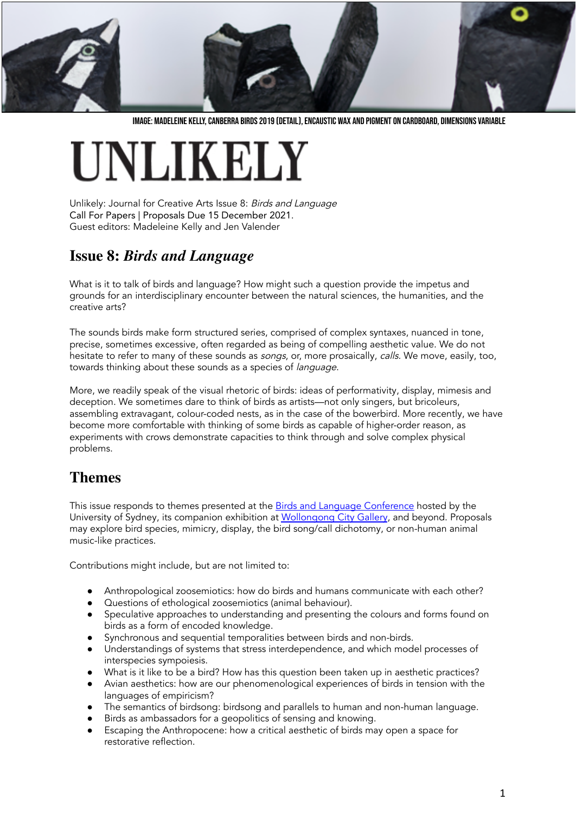

IMAGE: MADELEINE KELLY, CANBERRA BIRDS 2019 (DETAIL), ENCAUSTIC WAX AND PIGMENT ON CARDBOARD, DIMENSIONS VARIABLE

# **INLIKELY**

Unlikely: Journal for Creative Arts Issue 8: Birds and Language Call For Papers | Proposals Due 15 December 2021. Guest editors: Madeleine Kelly and Jen Valender

### **Issue 8:** *Birds and Language*

What is it to talk of birds and language? How might such a question provide the impetus and grounds for an interdisciplinary encounter between the natural sciences, the humanities, and the creative arts?

The sounds birds make form structured series, comprised of complex syntaxes, nuanced in tone, precise, sometimes excessive, often regarded as being of compelling aesthetic value. We do not hesitate to refer to many of these sounds as *songs*, or, more prosaically, *calls*. We move, easily, too, towards thinking about these sounds as a species of *language*.

More, we readily speak of the visual rhetoric of birds: ideas of performativity, display, mimesis and deception. We sometimes dare to think of birds as artists—not only singers, but bricoleurs, assembling extravagant, colour-coded nests, as in the case of the bowerbird. More recently, we have become more comfortable with thinking of some birds as capable of higher-order reason, as experiments with crows demonstrate capacities to think through and solve complex physical problems.

## **Themes**

This issue responds to themes presented at the Birds and Language [Conference](https://slam-events.sydney.edu.au/calendar/birds-and-language-conference/) hosted by the University of Sydney, its companion exhibition at [Wollongong](http://www.wollongongartgallery.com/exhibitions/Pages/Birds-and-Language.aspx) City Gallery, and beyond. Proposals may explore bird species, mimicry, display, the bird song/call dichotomy, or non-human animal music-like practices.

Contributions might include, but are not limited to:

- Anthropological zoosemiotics: how do birds and humans communicate with each other?
- Questions of ethological zoosemiotics (animal behaviour).
- Speculative approaches to understanding and presenting the colours and forms found on birds as a form of encoded knowledge.
- Synchronous and sequential temporalities between birds and non-birds.<br>• Understandings of systems that stress interdependence and which mode
- Understandings of systems that stress interdependence, and which model processes of interspecies sympoiesis.
- What is it like to be a bird? How has this question been taken up in aesthetic practices?
- Avian aesthetics: how are our phenomenological experiences of birds in tension with the languages of empiricism?
- The semantics of birdsong: birdsong and parallels to human and non-human language.
- Birds as ambassadors for a geopolitics of sensing and knowing.
- Escaping the Anthropocene: how a critical aesthetic of birds may open a space for restorative reflection.